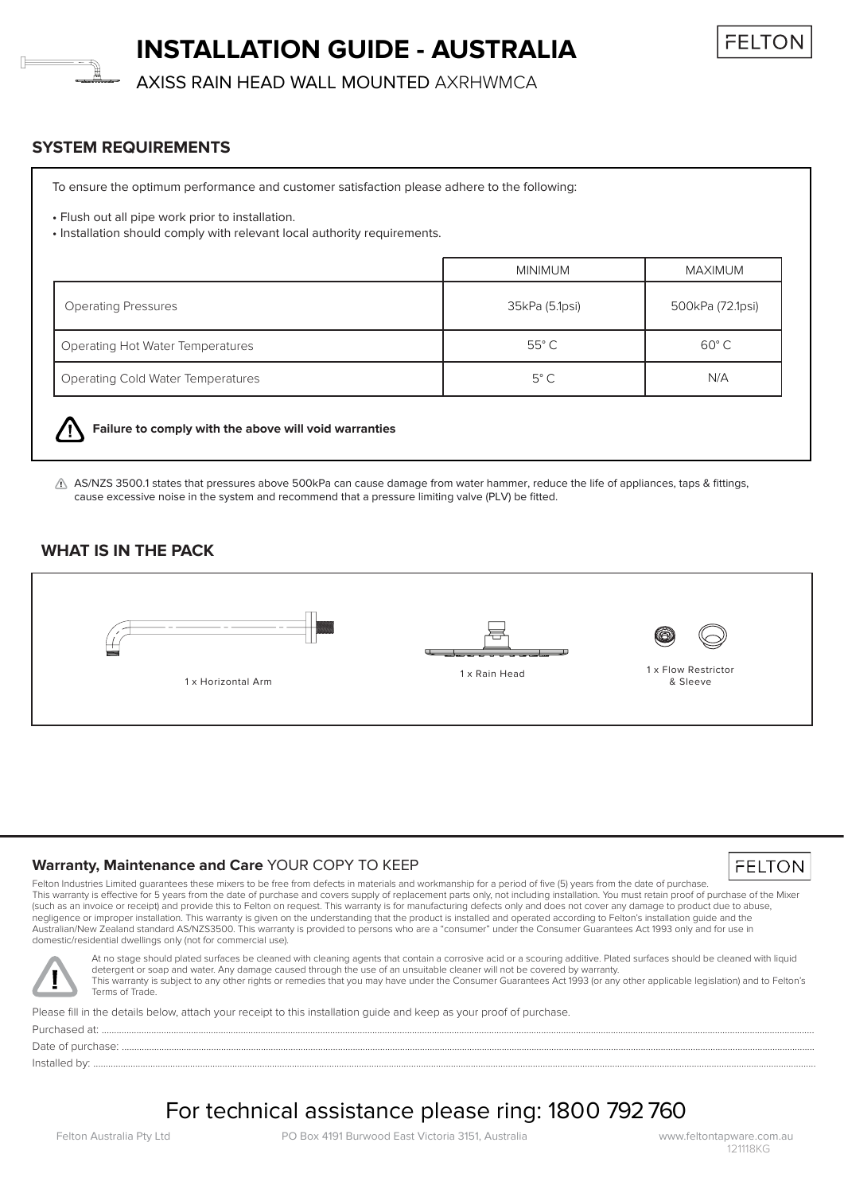# **INSTALLATION GUIDE - AUSTRALIA**



AXISS RAIN HEAD WALL MOUNTED AXRHWMCA

### **SYSTEM REQUIREMENTS**

To ensure the optimum performance and customer satisfaction please adhere to the following:

• Flush out all pipe work prior to installation.

• Installation should comply with relevant local authority requirements.

|                                          | <b>MINIMUM</b> | MAXIMUM          |
|------------------------------------------|----------------|------------------|
| <b>Operating Pressures</b>               | 35kPa (5.1psi) | 500kPa (72.1psi) |
| <b>Operating Hot Water Temperatures</b>  | $55^{\circ}$ C | $60^{\circ}$ C   |
| <b>Operating Cold Water Temperatures</b> | $5^{\circ}$ C  | N/A              |



#### **Failure to comply with the above will void warranties**

 $\triangle$  AS/NZS 3500.1 states that pressures above 500kPa can cause damage from water hammer, reduce the life of appliances, taps & fittings, cause excessive noise in the system and recommend that a pressure limiting valve (PLV) be fitted.

## **WHAT IS IN THE PACK**



#### **Warranty, Maintenance and Care** YOUR COPY TO KEEP

Felton Industries Limited guarantees these mixers to be free from defects in materials and workmanship for a period of five (5) years from the date of purchase. This warranty is effective for 5 years from the date of purchase and covers supply of replacement parts only, not including installation. You must retain proof of purchase of the Mixer (such as an invoice or receipt) and provide this to Felton on request. This warranty is for manufacturing defects only and does not cover any damage to product due to abuse, negligence or improper installation. This warranty is given on the understanding that the product is installed and operated according to Felton's installation guide and the Australian/New Zealand standard AS/NZS3500. This warranty is provided to persons who are a "consumer" under the Consumer Guarantees Act 1993 only and for use in domestic/residential dwellings only (not for commercial use).



At no stage should plated surfaces be cleaned with cleaning agents that contain a corrosive acid or a scouring additive. Plated surfaces should be cleaned with liquid detergent or soap and water. Any damage caused through the use of an unsuitable cleaner will not be covered by warranty. This warranty is subject to any other rights or remedies that you may have under the Consumer Guarantees Act 1993 (or any other applicable legislation) and to Felton's Terms of Trade.

Please fill in the details below, attach your receipt to this installation guide and keep as your proof of purchase.

Purchased at: ...............................................................................................................................................................................................................................................................................................

Date of purchase: .......... Installed by: ...................................................................................................................................................................................................................................................................................................

For technical assistance please ring: 1800 792 760

FELTON